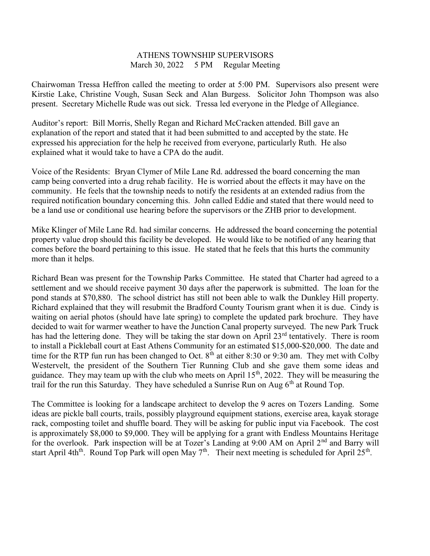## ATHENS TOWNSHIP SUPERVISORS March 30, 2022 5 PM Regular Meeting

Chairwoman Tressa Heffron called the meeting to order at 5:00 PM. Supervisors also present were Kirstie Lake, Christine Vough, Susan Seck and Alan Burgess. Solicitor John Thompson was also present. Secretary Michelle Rude was out sick. Tressa led everyone in the Pledge of Allegiance.

Auditor's report: Bill Morris, Shelly Regan and Richard McCracken attended. Bill gave an explanation of the report and stated that it had been submitted to and accepted by the state. He expressed his appreciation for the help he received from everyone, particularly Ruth. He also explained what it would take to have a CPA do the audit.

Voice of the Residents: Bryan Clymer of Mile Lane Rd. addressed the board concerning the man camp being converted into a drug rehab facility. He is worried about the effects it may have on the community. He feels that the township needs to notify the residents at an extended radius from the required notification boundary concerning this. John called Eddie and stated that there would need to be a land use or conditional use hearing before the supervisors or the ZHB prior to development.

Mike Klinger of Mile Lane Rd. had similar concerns. He addressed the board concerning the potential property value drop should this facility be developed. He would like to be notified of any hearing that comes before the board pertaining to this issue. He stated that he feels that this hurts the community more than it helps.

Richard Bean was present for the Township Parks Committee. He stated that Charter had agreed to a settlement and we should receive payment 30 days after the paperwork is submitted. The loan for the pond stands at \$70,880. The school district has still not been able to walk the Dunkley Hill property. Richard explained that they will resubmit the Bradford County Tourism grant when it is due. Cindy is waiting on aerial photos (should have late spring) to complete the updated park brochure. They have decided to wait for warmer weather to have the Junction Canal property surveyed. The new Park Truck has had the lettering done. They will be taking the star down on April 23<sup>rd</sup> tentatively. There is room to install a Pickleball court at East Athens Community for an estimated \$15,000-\$20,000. The date and time for the RTP fun run has been changed to Oct.  $8^{th}$  at either 8:30 or 9:30 am. They met with Colby Westervelt, the president of the Southern Tier Running Club and she gave them some ideas and guidance. They may team up with the club who meets on April  $15<sup>th</sup>$ , 2022. They will be measuring the trail for the run this Saturday. They have scheduled a Sunrise Run on Aug  $6<sup>th</sup>$  at Round Top.

The Committee is looking for a landscape architect to develop the 9 acres on Tozers Landing. Some ideas are pickle ball courts, trails, possibly playground equipment stations, exercise area, kayak storage rack, composting toilet and shuffle board. They will be asking for public input via Facebook. The cost is approximately \$8,000 to \$9,000. They will be applying for a grant with Endless Mountains Heritage for the overlook. Park inspection will be at Tozer's Landing at 9:00 AM on April  $2<sup>nd</sup>$  and Barry will start April 4th<sup>th</sup>. Round Top Park will open May 7<sup>th</sup>. Their next meeting is scheduled for April 25<sup>th</sup>.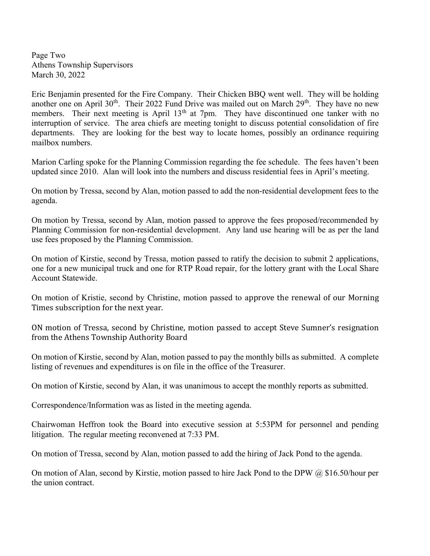Page Two Athens Township Supervisors March 30, 2022

Eric Benjamin presented for the Fire Company. Their Chicken BBQ went well. They will be holding another one on April 30<sup>th</sup>. Their 2022 Fund Drive was mailed out on March 29<sup>th</sup>. They have no new members. Their next meeting is April  $13<sup>th</sup>$  at 7pm. They have discontinued one tanker with no interruption of service. The area chiefs are meeting tonight to discuss potential consolidation of fire departments. They are looking for the best way to locate homes, possibly an ordinance requiring mailbox numbers.

Marion Carling spoke for the Planning Commission regarding the fee schedule. The fees haven't been updated since 2010. Alan will look into the numbers and discuss residential fees in April's meeting.

On motion by Tressa, second by Alan, motion passed to add the non-residential development fees to the agenda.

On motion by Tressa, second by Alan, motion passed to approve the fees proposed/recommended by Planning Commission for non-residential development. Any land use hearing will be as per the land use fees proposed by the Planning Commission.

On motion of Kirstie, second by Tressa, motion passed to ratify the decision to submit 2 applications, one for a new municipal truck and one for RTP Road repair, for the lottery grant with the Local Share Account Statewide.

On motion of Kristie, second by Christine, motion passed to approve the renewal of our Morning Times subscription for the next year.

ON motion of Tressa, second by Christine, motion passed to accept Steve Sumner's resignation from the Athens Township Authority Board

On motion of Kirstie, second by Alan, motion passed to pay the monthly bills as submitted. A complete listing of revenues and expenditures is on file in the office of the Treasurer.

On motion of Kirstie, second by Alan, it was unanimous to accept the monthly reports as submitted.

Correspondence/Information was as listed in the meeting agenda.

Chairwoman Heffron took the Board into executive session at 5:53PM for personnel and pending litigation. The regular meeting reconvened at 7:33 PM.

On motion of Tressa, second by Alan, motion passed to add the hiring of Jack Pond to the agenda.

On motion of Alan, second by Kirstie, motion passed to hire Jack Pond to the DPW @ \$16.50/hour per the union contract.